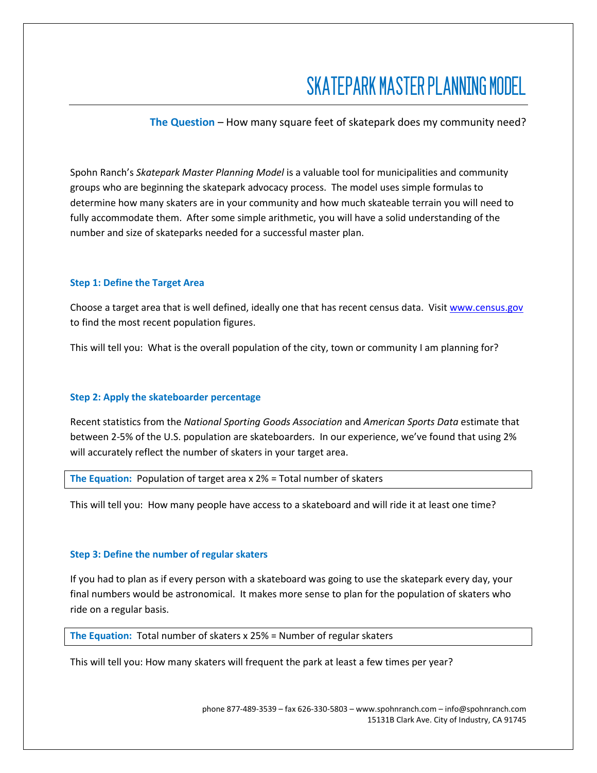# SKATEPARK MASTER PLANNING MODEL

**The Question** – How many square feet of skatepark does my community need?

Spohn Ranch's *Skatepark Master Planning Model* is a valuable tool for municipalities and community groups who are beginning the skatepark advocacy process. The model uses simple formulas to determine how many skaters are in your community and how much skateable terrain you will need to fully accommodate them. After some simple arithmetic, you will have a solid understanding of the number and size of skateparks needed for a successful master plan.

# **Step 1: Define the Target Area**

Choose a target area that is well defined, ideally one that has recent census data. Visit [www.census.gov](http://www.census.gov/) to find the most recent population figures.

This will tell you: What is the overall population of the city, town or community I am planning for?

# **Step 2: Apply the skateboarder percentage**

Recent statistics from the *National Sporting Goods Association* and *American Sports Data* estimate that between 2-5% of the U.S. population are skateboarders. In our experience, we've found that using 2% will accurately reflect the number of skaters in your target area.

**The Equation:** Population of target area x 2% = Total number of skaters

This will tell you: How many people have access to a skateboard and will ride it at least one time?

#### **Step 3: Define the number of regular skaters**

If you had to plan as if every person with a skateboard was going to use the skatepark every day, your final numbers would be astronomical. It makes more sense to plan for the population of skaters who ride on a regular basis.

**The Equation:** Total number of skaters x 25% = Number of regular skaters

This will tell you: How many skaters will frequent the park at least a few times per year?

phone 877-489-3539 – fax 626-330-5803 – www.spohnranch.com – info@spohnranch.com 15131B Clark Ave. City of Industry, CA 91745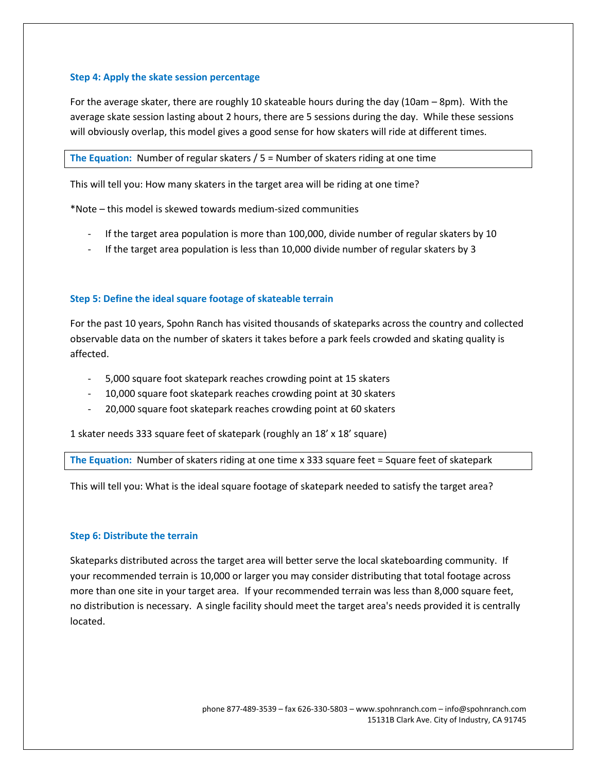# **Step 4: Apply the skate session percentage**

For the average skater, there are roughly 10 skateable hours during the day (10am – 8pm). With the average skate session lasting about 2 hours, there are 5 sessions during the day. While these sessions will obviously overlap, this model gives a good sense for how skaters will ride at different times.

**The Equation:** Number of regular skaters / 5 = Number of skaters riding at one time

This will tell you: How many skaters in the target area will be riding at one time?

\*Note – this model is skewed towards medium-sized communities

- If the target area population is more than 100,000, divide number of regular skaters by 10
- If the target area population is less than 10,000 divide number of regular skaters by 3

# **Step 5: Define the ideal square footage of skateable terrain**

For the past 10 years, Spohn Ranch has visited thousands of skateparks across the country and collected observable data on the number of skaters it takes before a park feels crowded and skating quality is affected.

- 5,000 square foot skatepark reaches crowding point at 15 skaters
- 10,000 square foot skatepark reaches crowding point at 30 skaters
- 20,000 square foot skatepark reaches crowding point at 60 skaters

1 skater needs 333 square feet of skatepark (roughly an 18' x 18' square)

**The Equation:** Number of skaters riding at one time x 333 square feet = Square feet of skatepark

This will tell you: What is the ideal square footage of skatepark needed to satisfy the target area?

#### **Step 6: Distribute the terrain**

Skateparks distributed across the target area will better serve the local skateboarding community. If your recommended terrain is 10,000 or larger you may consider distributing that total footage across more than one site in your target area. If your recommended terrain was less than 8,000 square feet, no distribution is necessary. A single facility should meet the target area's needs provided it is centrally located.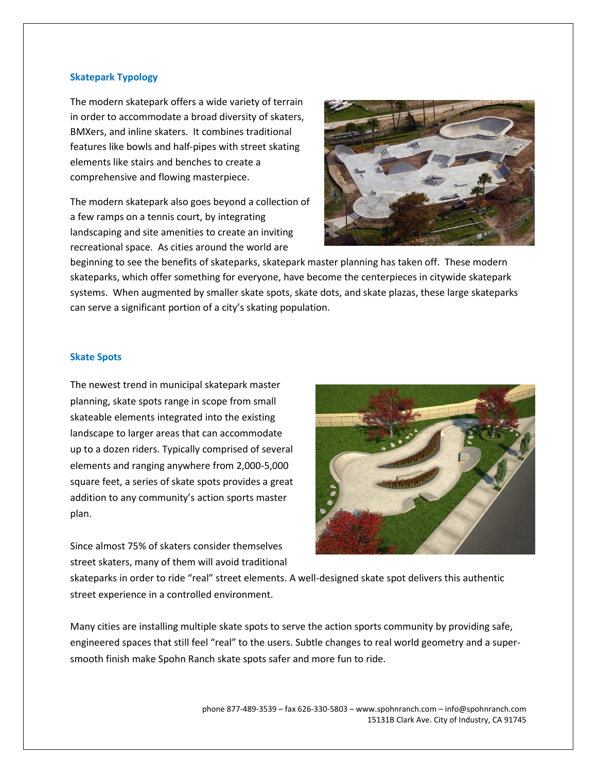#### **Skatepark Typology**

The modern skatepark offers a wide variety of terrain in order to accommodate a broad diversity of skaters, BMXers, and inline skaters. It combines traditional features like bowls and half-pipes with street skating elements like stairs and benches to create a comprehensive and flowing masterpiece.

The modern skatepark also goes beyond a collection of a few ramps on a tennis court, by integrating landscaping and site amenities to create an inviting recreational space. As cities around the world are



beginning to see the benefits of skateparks, skatepark master planning has taken off. These modern skateparks, which offer something for everyone, have become the centerpieces in citywide skatepark systems. When augmented by smaller skate spots, skate dots, and skate plazas, these large skateparks can serve a significant portion of a city's skating population.

#### **Skate Spots**

The newest trend in municipal skatepark master planning, skate spots range in scope from small skateable elements integrated into the existing landscape to larger areas that can accommodate up to a dozen riders. Typically comprised of several elements and ranging anywhere from 2,000-5,000 square feet, a series of skate spots provides a great addition to any community's action sports master plan.

Since almost 75% of skaters consider themselves street skaters, many of them will avoid traditional



skateparks in order to ride "real" street elements. A well-designed skate spot delivers this authentic street experience in a controlled environment.

Many cities are installing multiple skate spots to serve the action sports community by providing safe, engineered spaces that still feel "real" to the users. Subtle changes to real world geometry and a supersmooth finish make Spohn Ranch skate spots safer and more fun to ride.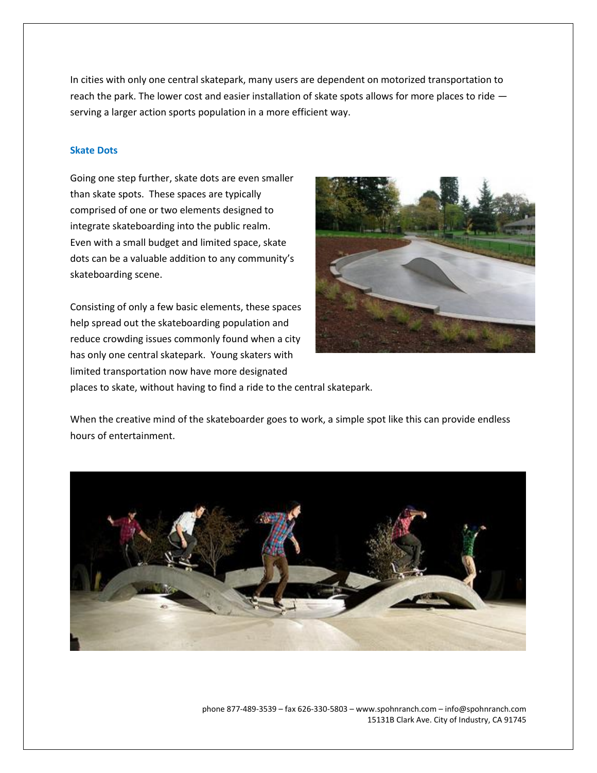In cities with only one central skatepark, many users are dependent on motorized transportation to reach the park. The lower cost and easier installation of skate spots allows for more places to ride serving a larger action sports population in a more efficient way.

# **Skate Dots**

Going one step further, skate dots are even smaller than skate spots. These spaces are typically comprised of one or two elements designed to integrate skateboarding into the public realm. Even with a small budget and limited space, skate dots can be a valuable addition to any community's skateboarding scene.

Consisting of only a few basic elements, these spaces help spread out the skateboarding population and reduce crowding issues commonly found when a city has only one central skatepark. Young skaters with limited transportation now have more designated places to skate, without having to find a ride to the central skatepark.



When the creative mind of the skateboarder goes to work, a simple spot like this can provide endless hours of entertainment.



phone 877-489-3539 – fax 626-330-5803 – www.spohnranch.com – info@spohnranch.com 15131B Clark Ave. City of Industry, CA 91745